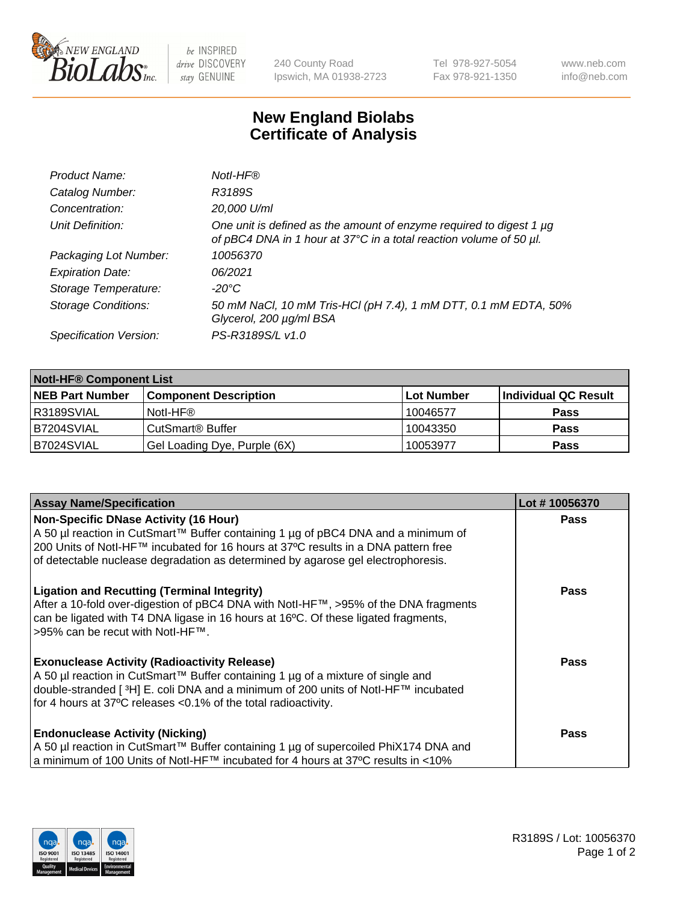

be INSPIRED drive DISCOVERY stay GENUINE

240 County Road Ipswich, MA 01938-2723 Tel 978-927-5054 Fax 978-921-1350 www.neb.com info@neb.com

## **New England Biolabs Certificate of Analysis**

| Product Name:              | Notl-HF®                                                                                                                                  |
|----------------------------|-------------------------------------------------------------------------------------------------------------------------------------------|
| Catalog Number:            | R3189S                                                                                                                                    |
| Concentration:             | 20,000 U/ml                                                                                                                               |
| Unit Definition:           | One unit is defined as the amount of enzyme required to digest 1 µg<br>of pBC4 DNA in 1 hour at 37°C in a total reaction volume of 50 µl. |
| Packaging Lot Number:      | 10056370                                                                                                                                  |
| <b>Expiration Date:</b>    | 06/2021                                                                                                                                   |
| Storage Temperature:       | $-20^{\circ}$ C                                                                                                                           |
| <b>Storage Conditions:</b> | 50 mM NaCl, 10 mM Tris-HCl (pH 7.4), 1 mM DTT, 0.1 mM EDTA, 50%<br>Glycerol, 200 µg/ml BSA                                                |
| Specification Version:     | PS-R3189S/L v1.0                                                                                                                          |

| <b>Notl-HF® Component List</b> |                              |            |                      |  |  |
|--------------------------------|------------------------------|------------|----------------------|--|--|
| <b>NEB Part Number</b>         | <b>Component Description</b> | Lot Number | Individual QC Result |  |  |
| R3189SVIAL                     | Notl-HF®                     | 10046577   | <b>Pass</b>          |  |  |
| IB7204SVIAL                    | CutSmart <sup>®</sup> Buffer | 10043350   | <b>Pass</b>          |  |  |
| B7024SVIAL                     | Gel Loading Dye, Purple (6X) | 10053977   | <b>Pass</b>          |  |  |

| <b>Assay Name/Specification</b>                                                     | Lot #10056370 |
|-------------------------------------------------------------------------------------|---------------|
| <b>Non-Specific DNase Activity (16 Hour)</b>                                        | <b>Pass</b>   |
| A 50 µl reaction in CutSmart™ Buffer containing 1 µg of pBC4 DNA and a minimum of   |               |
| 200 Units of Notl-HF™ incubated for 16 hours at 37°C results in a DNA pattern free  |               |
| of detectable nuclease degradation as determined by agarose gel electrophoresis.    |               |
| <b>Ligation and Recutting (Terminal Integrity)</b>                                  | Pass          |
| After a 10-fold over-digestion of pBC4 DNA with Notl-HF™, >95% of the DNA fragments |               |
| can be ligated with T4 DNA ligase in 16 hours at 16°C. Of these ligated fragments,  |               |
| >95% can be recut with Notl-HF™.                                                    |               |
| <b>Exonuclease Activity (Radioactivity Release)</b>                                 | Pass          |
| A 50 µl reaction in CutSmart™ Buffer containing 1 µg of a mixture of single and     |               |
| double-stranded [3H] E. coli DNA and a minimum of 200 units of Notl-HF™ incubated   |               |
| for 4 hours at 37°C releases < 0.1% of the total radioactivity.                     |               |
| <b>Endonuclease Activity (Nicking)</b>                                              | <b>Pass</b>   |
| A 50 µl reaction in CutSmart™ Buffer containing 1 µg of supercoiled PhiX174 DNA and |               |
| a minimum of 100 Units of Notl-HF™ incubated for 4 hours at 37°C results in <10%    |               |